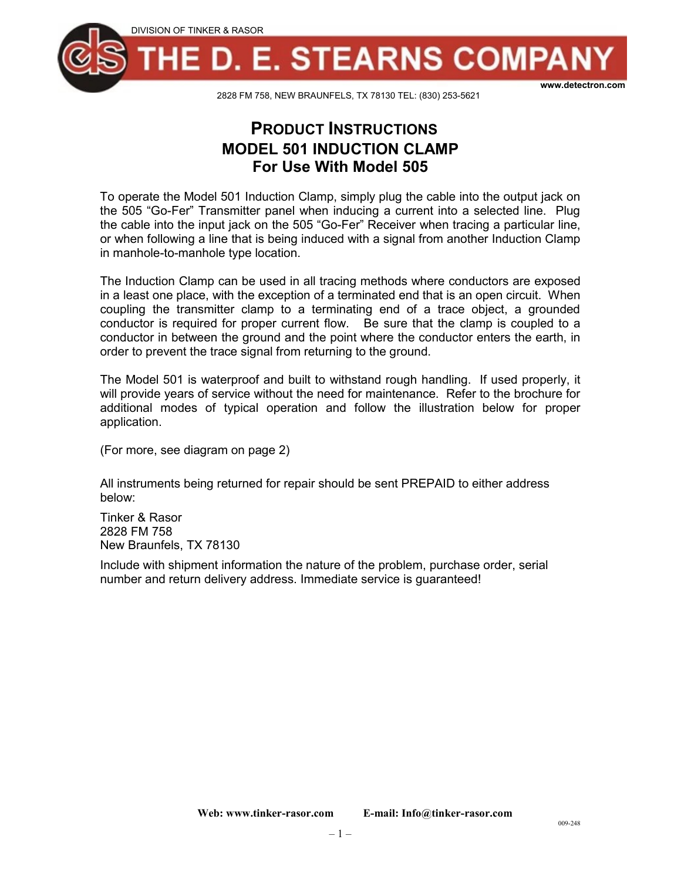

2828 FM 758, NEW BRAUNFELS, TX 78130 TEL: (830) 253-5621

## **PRODUCT INSTRUCTIONS MODEL 501 INDUCTION CLAMP For Use With Model 505**

To operate the Model 501 Induction Clamp, simply plug the cable into the output jack on the 505 "Go-Fer" Transmitter panel when inducing a current into a selected line. Plug the cable into the input jack on the 505 "Go-Fer" Receiver when tracing a particular line, or when following a line that is being induced with a signal from another Induction Clamp in manhole-to-manhole type location.

The Induction Clamp can be used in all tracing methods where conductors are exposed in a least one place, with the exception of a terminated end that is an open circuit. When coupling the transmitter clamp to a terminating end of a trace object, a grounded conductor is required for proper current flow. Be sure that the clamp is coupled to a conductor in between the ground and the point where the conductor enters the earth, in order to prevent the trace signal from returning to the ground.

The Model 501 is waterproof and built to withstand rough handling. If used properly, it will provide years of service without the need for maintenance. Refer to the brochure for additional modes of typical operation and follow the illustration below for proper application.

(For more, see diagram on page 2)

All instruments being returned for repair should be sent PREPAID to either address below:

Tinker & Rasor 2828 FM 758 New Braunfels, TX 78130

Include with shipment information the nature of the problem, purchase order, serial number and return delivery address. Immediate service is guaranteed!

009-248